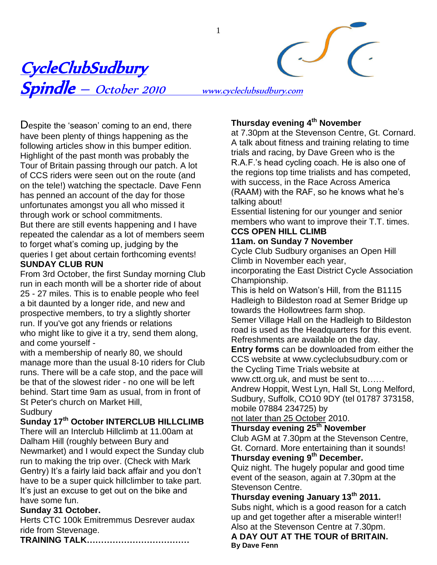<u>CycleClubSudbury</u> Spindle – October <sup>2010</sup> www.cycleclubsudbury.com

1

Despite the 'season' coming to an end, there have been plenty of things happening as the following articles show in this bumper edition. Highlight of the past month was probably the Tour of Britain passing through our patch. A lot of CCS riders were seen out on the route (and on the tele!) watching the spectacle. Dave Fenn has penned an account of the day for those unfortunates amongst you all who missed it through work or school commitments. But there are still events happening and I have repeated the calendar as a lot of members seem to forget what"s coming up, judging by the queries I get about certain forthcoming events! **SUNDAY CLUB RUN**

From 3rd October, the first Sunday morning Club run in each month will be a shorter ride of about 25 - 27 miles. This is to enable people who feel a bit daunted by a longer ride, and new and prospective members, to try a slightly shorter run. If you've got any friends or relations who might like to give it a try, send them along, and come yourself -

with a membership of nearly 80, we should manage more than the usual 8-10 riders for Club runs. There will be a cafe stop, and the pace will be that of the slowest rider - no one will be left behind. Start time 9am as usual, from in front of St Peter's church on Market Hill, **Sudbury** 

## **Sunday 17th October INTERCLUB HILLCLIMB**

There will an Interclub Hillclimb at 11.00am at Dalham Hill (roughly between Bury and Newmarket) and I would expect the Sunday club run to making the trip over. (Check with Mark Gentry) It's a fairly laid back affair and you don't have to be a super quick hillclimber to take part. It"s just an excuse to get out on the bike and have some fun.

### **Sunday 31 October.**

Herts CTC 100k Emitremmus Desrever audax ride from Stevenage.

**TRAINING TALK………………………………**

## **Thursday evening 4th November**

at 7.30pm at the Stevenson Centre, Gt. Cornard. A talk about fitness and training relating to time trials and racing, by Dave Green who is the R.A.F."s head cycling coach. He is also one of the regions top time trialists and has competed, with success, in the Race Across America (RAAM) with the RAF, so he knows what he"s talking about!

Essential listening for our younger and senior members who want to improve their T.T. times. **CCS OPEN HILL CLIMB**

## **11am. on Sunday 7 November**

Cycle Club Sudbury organises an Open Hill Climb in November each year,

incorporating the East District Cycle Association Championship.

This is held on Watson"s Hill, from the B1115 Hadleigh to Bildeston road at Semer Bridge up towards the Hollowtrees farm shop.

Semer Village Hall on the Hadleigh to Bildeston road is used as the Headquarters for this event. Refreshments are available on the day.

**Entry forms** can be downloaded from either the CCS website at www.cycleclubsudbury.com or the Cycling Time Trials website at

www.ctt.org.uk, and must be sent to……

Andrew Hoppit, West Lyn, Hall St, Long Melford, Sudbury, Suffolk, CO10 9DY (tel 01787 373158, mobile 07884 234725) by

not later than 25 October 2010.

## **Thursday evening 25th November**

Club AGM at 7.30pm at the Stevenson Centre, Gt. Cornard. More entertaining than it sounds! **Thursday evening 9th December.**

Quiz night. The hugely popular and good time event of the season, again at 7.30pm at the Stevenson Centre.

**Thursday evening January 13th 2011.** Subs night, which is a good reason for a catch up and get together after a miserable winter!! Also at the Stevenson Centre at 7.30pm.

**A DAY OUT AT THE TOUR of BRITAIN. By Dave Fenn**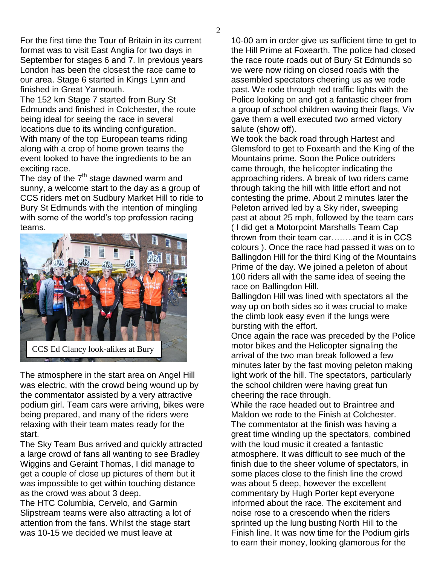For the first time the Tour of Britain in its current format was to visit East Anglia for two days in September for stages 6 and 7. In previous years London has been the closest the race came to our area. Stage 6 started in Kings Lynn and finished in Great Yarmouth.

The 152 km Stage 7 started from Bury St Edmunds and finished in Colchester, the route being ideal for seeing the race in several locations due to its winding configuration. With many of the top European teams riding along with a crop of home grown teams the event looked to have the ingredients to be an exciting race.

The day of the  $7<sup>th</sup>$  stage dawned warm and sunny, a welcome start to the day as a group of CCS riders met on Sudbury Market Hill to ride to Bury St Edmunds with the intention of mingling with some of the world's top profession racing teams.



The atmosphere in the start area on Angel Hill was electric, with the crowd being wound up by the commentator assisted by a very attractive podium girl. Team cars were arriving, bikes were being prepared, and many of the riders were relaxing with their team mates ready for the start.

The Sky Team Bus arrived and quickly attracted a large crowd of fans all wanting to see Bradley Wiggins and Geraint Thomas, I did manage to get a couple of close up pictures of them but it was impossible to get within touching distance as the crowd was about 3 deep.

The HTC Columbia, Cervelo, and Garmin Slipstream teams were also attracting a lot of attention from the fans. Whilst the stage start was 10-15 we decided we must leave at

10-00 am in order give us sufficient time to get to the Hill Prime at Foxearth. The police had closed the race route roads out of Bury St Edmunds so we were now riding on closed roads with the assembled spectators cheering us as we rode past. We rode through red traffic lights with the Police looking on and got a fantastic cheer from a group of school children waving their flags, Viv gave them a well executed two armed victory salute (show off).

We took the back road through Hartest and Glemsford to get to Foxearth and the King of the Mountains prime. Soon the Police outriders came through, the helicopter indicating the approaching riders. A break of two riders came through taking the hill with little effort and not contesting the prime. About 2 minutes later the Peleton arrived led by a Sky rider, sweeping past at about 25 mph, followed by the team cars ( I did get a Motorpoint Marshalls Team Cap thrown from their team car……..and it is in CCS colours ). Once the race had passed it was on to Ballingdon Hill for the third King of the Mountains Prime of the day. We joined a peleton of about 100 riders all with the same idea of seeing the race on Ballingdon Hill.

Ballingdon Hill was lined with spectators all the way up on both sides so it was crucial to make the climb look easy even if the lungs were bursting with the effort.

Once again the race was preceded by the Police motor bikes and the Helicopter signaling the arrival of the two man break followed a few minutes later by the fast moving peleton making light work of the hill. The spectators, particularly the school children were having great fun cheering the race through.

While the race headed out to Braintree and Maldon we rode to the Finish at Colchester. The commentator at the finish was having a great time winding up the spectators, combined with the loud music it created a fantastic atmosphere. It was difficult to see much of the finish due to the sheer volume of spectators, in some places close to the finish line the crowd was about 5 deep, however the excellent commentary by Hugh Porter kept everyone informed about the race. The excitement and noise rose to a crescendo when the riders sprinted up the lung busting North Hill to the Finish line. It was now time for the Podium girls to earn their money, looking glamorous for the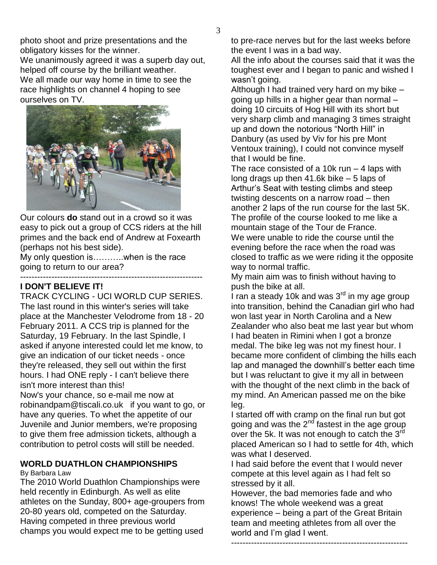photo shoot and prize presentations and the obligatory kisses for the winner.

We unanimously agreed it was a superb day out, helped off course by the brilliant weather. We all made our way home in time to see the race highlights on channel 4 hoping to see ourselves on TV.



Our colours **do** stand out in a crowd so it was easy to pick out a group of CCS riders at the hill primes and the back end of Andrew at Foxearth (perhaps not his best side).

My only question is………..when is the race going to return to our area?

### ---------------------------------------------------------------- **I DON'T BELIEVE IT!**

TRACK CYCLING - UCI WORLD CUP SERIES. The last round in this winter's series will take place at the Manchester Velodrome from 18 - 20 February 2011. A CCS trip is planned for the Saturday, 19 February. In the last Spindle, I asked if anyone interested could let me know, to give an indication of our ticket needs - once they're released, they sell out within the first hours. I had ONE reply - I can't believe there isn't more interest than this!

Now's your chance, so e-mail me now at robinandpam@tiscali.co.uk if you want to go, or have any queries. To whet the appetite of our Juvenile and Junior members, we're proposing to give them free admission tickets, although a contribution to petrol costs will still be needed.

# **WORLD DUATHLON CHAMPIONSHIPS**

By Barbara Law

The 2010 World Duathlon Championships were held recently in Edinburgh. As well as elite athletes on the Sunday, 800+ age-groupers from 20-80 years old, competed on the Saturday. Having competed in three previous world champs you would expect me to be getting used

to pre-race nerves but for the last weeks before the event I was in a bad way.

All the info about the courses said that it was the toughest ever and I began to panic and wished I wasn"t going.

Although I had trained very hard on my bike – going up hills in a higher gear than normal – doing 10 circuits of Hog Hill with its short but very sharp climb and managing 3 times straight up and down the notorious "North Hill" in Danbury (as used by Viv for his pre Mont Ventoux training), I could not convince myself that I would be fine.

The race consisted of a 10 $k$  run  $-$  4 laps with long drags up then 41.6k bike – 5 laps of Arthur"s Seat with testing climbs and steep twisting descents on a narrow road – then another 2 laps of the run course for the last 5K. The profile of the course looked to me like a mountain stage of the Tour de France. We were unable to ride the course until the evening before the race when the road was closed to traffic as we were riding it the opposite way to normal traffic.

My main aim was to finish without having to push the bike at all.

.<br>I ran a steady 10k and was 3<sup>rd</sup> in my age group into transition, behind the Canadian girl who had won last year in North Carolina and a New Zealander who also beat me last year but whom I had beaten in Rimini when I got a bronze medal. The bike leg was not my finest hour. I became more confident of climbing the hills each lap and managed the downhill"s better each time but I was reluctant to give it my all in between with the thought of the next climb in the back of my mind. An American passed me on the bike leg.

I started off with cramp on the final run but got going and was the 2<sup>nd</sup> fastest in the age group over the 5k. It was not enough to catch the 3rd placed American so I had to settle for 4th, which was what I deserved.

I had said before the event that I would never compete at this level again as I had felt so stressed by it all.

However, the bad memories fade and who knows! The whole weekend was a great experience – being a part of the Great Britain team and meeting athletes from all over the world and I"m glad I went.

--------------------------------------------------------------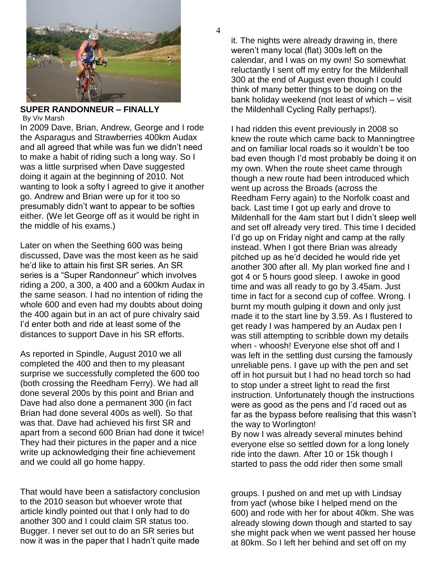

#### **SUPER RANDONNEUR – FINALLY** By Viv Marsh

In 2009 Dave, Brian, Andrew, George and I rode the Asparagus and Strawberries 400km Audax and all agreed that while was fun we didn"t need to make a habit of riding such a long way. So I was a little surprised when Dave suggested doing it again at the beginning of 2010. Not wanting to look a softy I agreed to give it another go. Andrew and Brian were up for it too so presumably didn"t want to appear to be softies either. (We let George off as it would be right in the middle of his exams.)

Later on when the Seething 600 was being discussed, Dave was the most keen as he said he"d like to attain his first SR series. An SR series is a "Super Randonneur" which involves riding a 200, a 300, a 400 and a 600km Audax in the same season. I had no intention of riding the whole 600 and even had my doubts about doing the 400 again but in an act of pure chivalry said I"d enter both and ride at least some of the distances to support Dave in his SR efforts.

As reported in Spindle, August 2010 we all completed the 400 and then to my pleasant surprise we successfully completed the 600 too (both crossing the Reedham Ferry). We had all done several 200s by this point and Brian and Dave had also done a permanent 300 (in fact Brian had done several 400s as well). So that was that. Dave had achieved his first SR and apart from a second 600 Brian had done it twice! They had their pictures in the paper and a nice write up acknowledging their fine achievement and we could all go home happy.

That would have been a satisfactory conclusion to the 2010 season but whoever wrote that article kindly pointed out that I only had to do another 300 and I could claim SR status too. Bugger. I never set out to do an SR series but now it was in the paper that I hadn"t quite made

it. The nights were already drawing in, there weren"t many local (flat) 300s left on the calendar, and I was on my own! So somewhat reluctantly I sent off my entry for the Mildenhall 300 at the end of August even though I could think of many better things to be doing on the bank holiday weekend (not least of which – visit the Mildenhall Cycling Rally perhaps!).

I had ridden this event previously in 2008 so knew the route which came back to Manningtree and on familiar local roads so it wouldn"t be too bad even though I"d most probably be doing it on my own. When the route sheet came through though a new route had been introduced which went up across the Broads (across the Reedham Ferry again) to the Norfolk coast and back. Last time I got up early and drove to Mildenhall for the 4am start but I didn"t sleep well and set off already very tired. This time I decided I"d go up on Friday night and camp at the rally instead. When I got there Brian was already pitched up as he"d decided he would ride yet another 300 after all. My plan worked fine and I got 4 or 5 hours good sleep. I awoke in good time and was all ready to go by 3.45am. Just time in fact for a second cup of coffee. Wrong. I burnt my mouth gulping it down and only just made it to the start line by 3.59. As I flustered to get ready I was hampered by an Audax pen I was still attempting to scribble down my details when - whoosh! Everyone else shot off and I was left in the settling dust cursing the famously unreliable pens. I gave up with the pen and set off in hot pursuit but I had no head torch so had to stop under a street light to read the first instruction. Unfortunately though the instructions were as good as the pens and I"d raced out as far as the bypass before realising that this wasn"t the way to Worlington!

By now I was already several minutes behind everyone else so settled down for a long lonely ride into the dawn. After 10 or 15k though I started to pass the odd rider then some small

groups. I pushed on and met up with Lindsay from yacf (whose bike I helped mend on the 600) and rode with her for about 40km. She was already slowing down though and started to say she might pack when we went passed her house at 80km. So I left her behind and set off on my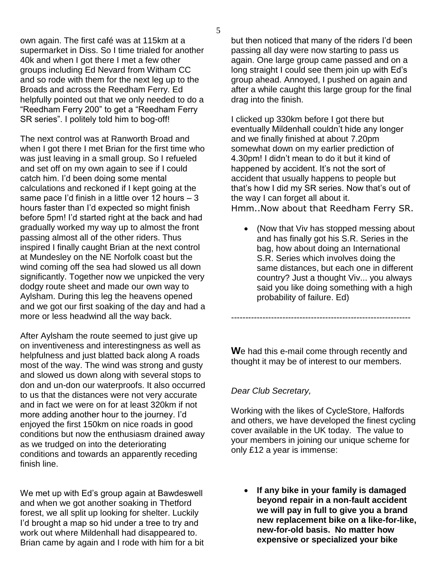own again. The first café was at 115km at a supermarket in Diss. So I time trialed for another 40k and when I got there I met a few other groups including Ed Nevard from Witham CC and so rode with them for the next leg up to the Broads and across the Reedham Ferry. Ed helpfully pointed out that we only needed to do a "Reedham Ferry 200" to get a "Reedham Ferry SR series". I politely told him to bog-off!

The next control was at Ranworth Broad and when I got there I met Brian for the first time who was just leaving in a small group. So I refueled and set off on my own again to see if I could catch him. I"d been doing some mental calculations and reckoned if I kept going at the same pace I"d finish in a little over 12 hours – 3 hours faster than I"d expected so might finish before 5pm! I"d started right at the back and had gradually worked my way up to almost the front passing almost all of the other riders. Thus inspired I finally caught Brian at the next control at Mundesley on the NE Norfolk coast but the wind coming off the sea had slowed us all down significantly. Together now we unpicked the very dodgy route sheet and made our own way to Aylsham. During this leg the heavens opened and we got our first soaking of the day and had a more or less headwind all the way back.

After Aylsham the route seemed to just give up on inventiveness and interestingness as well as helpfulness and just blatted back along A roads most of the way. The wind was strong and gusty and slowed us down along with several stops to don and un-don our waterproofs. It also occurred to us that the distances were not very accurate and in fact we were on for at least 320km if not more adding another hour to the journey. I"d enjoyed the first 150km on nice roads in good conditions but now the enthusiasm drained away as we trudged on into the deteriorating conditions and towards an apparently receding finish line.

We met up with Ed's group again at Bawdeswell and when we got another soaking in Thetford forest, we all split up looking for shelter. Luckily I"d brought a map so hid under a tree to try and work out where Mildenhall had disappeared to. Brian came by again and I rode with him for a bit but then noticed that many of the riders I"d been passing all day were now starting to pass us again. One large group came passed and on a long straight I could see them join up with Ed"s group ahead. Annoyed, I pushed on again and after a while caught this large group for the final drag into the finish.

I clicked up 330km before I got there but eventually Mildenhall couldn"t hide any longer and we finally finished at about 7.20pm somewhat down on my earlier prediction of 4.30pm! I didn"t mean to do it but it kind of happened by accident. It's not the sort of accident that usually happens to people but that's how I did my SR series. Now that's out of the way I can forget all about it. Hmm..Now about that Reedham Ferry SR.

 (Now that Viv has stopped messing about and has finally got his S.R. Series in the bag, how about doing an International S.R. Series which involves doing the same distances, but each one in different country? Just a thought Viv... you always said you like doing something with a high probability of failure. Ed)

**W**e had this e-mail come through recently and thought it may be of interest to our members.

---------------------------------------------------------------

### *Dear Club Secretary,*

Working with the likes of CycleStore, Halfords and others, we have developed the finest cycling cover available in the UK today. The value to your members in joining our unique scheme for only £12 a year is immense:

 **If any bike in your family is damaged beyond repair in a non-fault accident we will pay in full to give you a brand new replacement bike on a like-for-like, new-for-old basis. No matter how expensive or specialized your bike**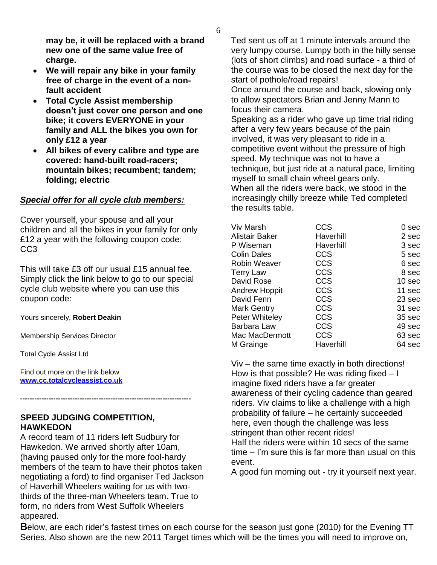**may be, it will be replaced with a brand new one of the same value free of charge.** 

- **We will repair any bike in your family free of charge in the event of a nonfault accident**
- **Total Cycle Assist membership doesn't just cover one person and one bike; it covers EVERYONE in your family and ALL the bikes you own for only £12 a year**
- **All bikes of every calibre and type are covered: hand-built road-racers; mountain bikes; recumbent; tandem; folding; electric**

### *Special offer for all cycle club members:*

Cover yourself, your spouse and all your children and all the bikes in your family for only £12 a year with the following coupon code: CC<sub>3</sub>

This will take £3 off our usual £15 annual fee. Simply click the link below to go to our special cycle club website where you can use this coupon code:

Yours sincerely, **Robert Deakin**

Membership Services Director

Total Cycle Assist Ltd

Find out more on the link below **[www.cc.totalcycleassist.co.uk](http://www.cc.totalcycleassist.co.uk/)**

### **SPEED JUDGING COMPETITION, HAWKEDON**

**------------------------------------------------------------------------**

A record team of 11 riders left Sudbury for Hawkedon. We arrived shortly after 10am, (having paused only for the more fool-hardy members of the team to have their photos taken negotiating a ford) to find organiser Ted Jackson of Haverhill Wheelers waiting for us with twothirds of the three-man Wheelers team. True to form, no riders from West Suffolk Wheelers appeared.

Ted sent us off at 1 minute intervals around the very lumpy course. Lumpy both in the hilly sense (lots of short climbs) and road surface - a third of the course was to be closed the next day for the start of pothole/road repairs!

Once around the course and back, slowing only to allow spectators Brian and Jenny Mann to focus their camera.

Speaking as a rider who gave up time trial riding after a very few years because of the pain involved, it was very pleasant to ride in a competitive event without the pressure of high speed. My technique was not to have a technique, but just ride at a natural pace, limiting myself to small chain wheel gears only. When all the riders were back, we stood in the increasingly chilly breeze while Ted completed the results table.

| Viv Marsh            | CCS        | 0 sec             |
|----------------------|------------|-------------------|
| Alistair Baker       | Haverhill  | 2 sec             |
| P Wiseman            | Haverhill  | 3 sec             |
| <b>Colin Dales</b>   | <b>CCS</b> | 5 sec             |
| <b>Robin Weaver</b>  | <b>CCS</b> | 6 sec             |
| <b>Terry Law</b>     | <b>CCS</b> | 8 sec             |
| David Rose           | <b>CCS</b> | 10 <sub>sec</sub> |
| <b>Andrew Hoppit</b> | <b>CCS</b> | 11 sec            |
| David Fenn           | <b>CCS</b> | 23 sec            |
| <b>Mark Gentry</b>   | <b>CCS</b> | 31 sec            |
| Peter Whiteley       | <b>CCS</b> | 35 sec            |
| Barbara Law          | <b>CCS</b> | 49 sec            |
| Mac MacDermott       | <b>CCS</b> | 63 sec            |
| M Grainge            | Haverhill  | 64 sec            |
|                      |            |                   |

Viv – the same time exactly in both directions! How is that possible? He was riding fixed – I imagine fixed riders have a far greater awareness of their cycling cadence than geared riders. Viv claims to like a challenge with a high probability of failure – he certainly succeeded here, even though the challenge was less stringent than other recent rides! Half the riders were within 10 secs of the same time – I"m sure this is far more than usual on this event.

A good fun morning out - try it yourself next year.

**B**elow, are each rider's fastest times on each course for the season just gone (2010) for the Evening TT Series. Also shown are the new 2011 Target times which will be the times you will need to improve on,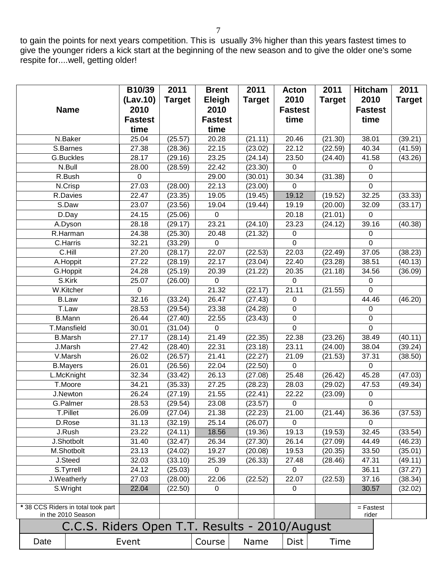to gain the points for next years competition. This is usually 3% higher than this years fastest times to give the younger riders a kick start at the beginning of the new season and to give the older one's some respite for....well, getting older!

|                    |                                               | B10/39         | 2011          | <b>Brent</b>   | 2011          | <b>Acton</b>       | 2011          | <b>Hitcham</b>       | 2011          |
|--------------------|-----------------------------------------------|----------------|---------------|----------------|---------------|--------------------|---------------|----------------------|---------------|
|                    |                                               | (Lav.10)       | <b>Target</b> | Eleigh         | <b>Target</b> | 2010               | <b>Target</b> | 2010                 | <b>Target</b> |
|                    | <b>Name</b>                                   | 2010           |               | 2010           |               | <b>Fastest</b>     |               | <b>Fastest</b>       |               |
|                    |                                               | <b>Fastest</b> |               | <b>Fastest</b> |               | time               |               | time                 |               |
|                    |                                               | time           |               | time           |               |                    |               |                      |               |
|                    | N.Baker                                       | 25.04          | (25.57)       | 20.28          | (21.11)       | 20.46              | (21.30)       | 38.01                | (39.21)       |
|                    | S.Barnes                                      | 27.38          | (28.36)       | 22.15          | (23.02)       | 22.12              | (22.59)       | 40.34                | (41.59)       |
|                    | G.Buckles                                     | 28.17          | (29.16)       | 23.25          | (24.14)       | 23.50              | (24.40)       | 41.58                | (43.26)       |
|                    | N.Bull                                        | 28.00          | (28.59)       | 22.42          | (23.30)       | 0                  |               | 0                    |               |
|                    | R.Bush                                        | 0              |               | 29.00          | (30.01)       | 30.34              | (31.38)       | 0                    |               |
|                    | $N.C$ risp                                    | 27.03          | (28.00)       | 22.13          | (23.00)       | $\mathbf 0$        |               | $\overline{0}$       |               |
|                    | R.Davies                                      | 22.47          | (23.35)       | 19.05          | (19.45)       | 19.12              | (19.52)       | 32.25                | (33.33)       |
|                    | $\overline{S}$ .Daw                           | 23.07          | (23.56)       | 19.04          | (19.44)       | 19.19              | (20.00)       | 32.09                | (33.17)       |
|                    | D.Day                                         | 24.15          | (25.06)       | 0              |               | 20.18              | (21.01)       | 0                    |               |
|                    | A.Dyson                                       | 28.18          | (29.17)       | 23.21          | (24.10)       | 23.23              | (24.12)       | 39.16                | (40.38)       |
|                    | R.Harman                                      | 24.38          | (25.30)       | 20.48          | (21.32)       | 0                  |               | 0                    |               |
|                    | C.Harris                                      | 32.21          | (33.29)       | 0              |               | 0                  |               | $\Omega$             |               |
|                    | C.Hill                                        | 27.20          | (28.17)       | 22.07          | (22.53)       | 22.03              | (22.49)       | 37.05                | (38.23)       |
|                    | A.Hoppit                                      | 27.22          | (28.19)       | 22.17          | (23.04)       | 22.40              | (23.28)       | 38.51                | (40.13)       |
|                    | G.Hoppit                                      | 24.28          | (25.19)       | 20.39          | (21.22)       | 20.35              | (21.18)       | 34.56                | (36.09)       |
|                    | S.Kirk                                        | 25.07          | (26.00)       | $\overline{0}$ |               | 0                  |               | 0                    |               |
|                    | W.Kitcher                                     | 0              |               | 21.32          | (22.17)       | 21.11              | (21.55)       | 0                    |               |
|                    | <b>B.Law</b>                                  | 32.16          | (33.24)       | 26.47          | (27.43)       | 0                  |               | 44.46                | (46.20)       |
|                    | $\overline{T}$ . Law                          | 28.53          | (29.54)       | 23.38          | (24.28)       | 0                  |               | 0                    |               |
|                    | <b>B.Mann</b>                                 | 26.44          | (27.40)       | 22.55          | (23.43)       | 0                  |               | 0                    |               |
|                    | T.Mansfield                                   | 30.01          | (31.04)       | $\overline{0}$ |               | 0                  |               | $\overline{0}$       |               |
|                    | <b>B.Marsh</b>                                | 27.17          | (28.14)       | 21.49          | (22.35)       | 22.38              | (23.26)       | 38.49                | (40.11)       |
|                    | J.Marsh                                       | 27.42          | (28.40)       | 22.31          | (23.18)       | 23.11              | (24.00)       | 38.04                | (39.24)       |
|                    | V.Marsh                                       | 26.02          | (26.57)       | 21.41          | (22.27)       | 21.09              | (21.53)       | 37.31                | (38.50)       |
|                    | <b>B.Mayers</b>                               | 26.01          | (26.56)       | 22.04          | (22.50)       | $\mathbf 0$        |               | $\mathbf 0$          |               |
|                    | L.McKnight                                    | 32.34          | (33.42)       | 26.13          | (27.08)       | 25.48              | (26.42)       | 45.28                | (47.03)       |
|                    | T.Moore                                       | 34.21          | (35.33)       | 27.25          | (28.23)       | 28.03              | (29.02)       | 47.53                | (49.34)       |
|                    | J.Newton                                      | 26.24          | (27.19)       | 21.55          | (22.41)       | 22.22              | (23.09)       | $\pmb{0}$            |               |
|                    | G.Palmer                                      | 28.53          | (29.54)       | 23.08          | (23.57)       | 0                  |               | $\Omega$             |               |
|                    | T.Pillet                                      | 26.09          | (27.04)       | 21.38          | (22.23)       | 21.00              | (21.44)       | 36.36                | (37.53)       |
|                    | D.Rose                                        | 31.13          | (32.19)       | 25.14          | (26.07)       | $\Omega$           |               | $\Omega$             |               |
|                    | J.Rush                                        | 23.22          | (24.11)       | 18.56          | (19.36)       | 19.13              | (19.53)       | 32.45                | (33.54)       |
|                    | J.Shotbolt                                    | 31.40          | (32.47)       | 26.34          | (27.30)       | 26.14              | (27.09)       | 44.49                | (46.23)       |
|                    | M.Shotbolt                                    | 23.13          | (24.02)       | 19.27          | (20.08)       | 19.53              | (20.35)       | 33.50                | (35.01)       |
|                    | J.Steed                                       | 32.03          | (33.10)       | 25.39          | (26.33)       | 27.48              | (28.46)       | 47.31                | (49.11)       |
|                    | S.Tyrrell                                     | 24.12          | (25.03)       | 0              |               | $\mathbf 0$        |               | 36.11                | (37.27)       |
|                    | J.Weatherly                                   | 27.03          | (28.00)       | 22.06          | (22.52)       | $\overline{2}2.07$ | (22.53)       | 37.16                | (38.34)       |
|                    | S.Wright                                      | 22.04          | (22.50)       | 0              |               | 0                  |               | 30.57                | (32.02)       |
|                    |                                               |                |               |                |               |                    |               |                      |               |
|                    | * 38 CCS Riders in total took part            |                |               |                |               |                    |               | $=$ Fastest<br>rider |               |
| in the 2010 Season |                                               |                |               |                |               |                    |               |                      |               |
|                    | C.C.S. Riders Open T.T. Results - 2010/August |                |               |                |               |                    |               |                      |               |
| Date               |                                               | Event          |               | Course         | Name          | <b>Dist</b>        | Time          |                      |               |